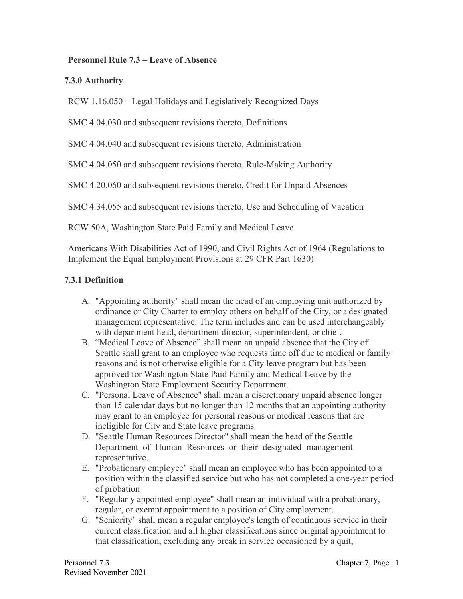### **Personnel Rule 7.3 – Leave of Absence**

### **7.3.0 Authority**

RCW 1.16.050 – Legal Holidays and Legislatively Recognized Days

SMC 4.04.030 and subsequent revisions thereto, Definitions

SMC 4.04.040 and subsequent revisions thereto, Administration

SMC 4.04.050 and subsequent revisions thereto, Rule-Making Authority

SMC 4.20.060 and subsequent revisions thereto, Credit for Unpaid Absences

SMC 4.34.055 and subsequent revisions thereto, Use and Scheduling of Vacation

RCW 50A, Washington State Paid Family and Medical Leave

Americans With Disabilities Act of 1990, and Civil Rights Act of 1964 (Regulations to Implement the Equal Employment Provisions at 29 CFR Part 1630)

#### **7.3.1 Definition**

- A. "Appointing authority" shall mean the head of an employing unit authorized by ordinance or City Charter to employ others on behalf of the City, or a designated management representative. The term includes and can be used interchangeably with department head, department director, superintendent, or chief.
- B. "Medical Leave of Absence" shall mean an unpaid absence that the City of Seattle shall grant to an employee who requests time off due to medical or family reasons and is not otherwise eligible for a City leave program but has been approved for Washington State Paid Family and Medical Leave by the Washington State Employment Security Department.
- C. "Personal Leave of Absence" shall mean a discretionary unpaid absence longer than 15 calendar days but no longer than 12 months that an appointing authority may grant to an employee for personal reasons or medical reasons that are ineligible for City and State leave programs.
- D. "Seattle Human Resources Director" shall mean the head of the Seattle Department of Human Resources or their designated management representative.
- E. "Probationary employee" shall mean an employee who has been appointed to a position within the classified service but who has not completed a one-year period of probation
- F. "Regularly appointed employee" shall mean an individual with a probationary, regular, or exempt appointment to a position of City employment.
- G. "Seniority" shall mean a regular employee's length of continuous service in their current classification and all higher classifications since original appointment to that classification, excluding any break in service occasioned by a quit,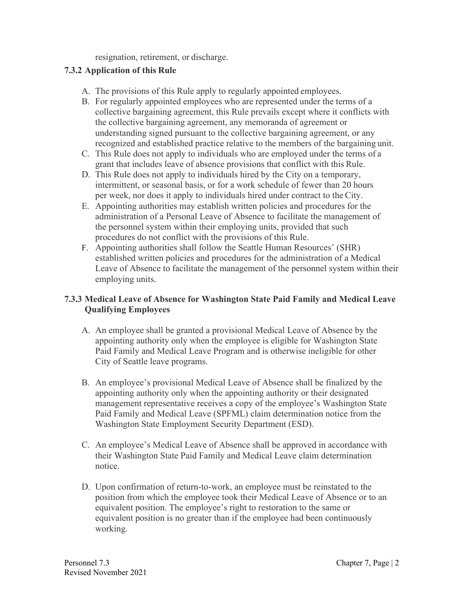resignation, retirement, or discharge.

## **7.3.2 Application of this Rule**

- A. The provisions of this Rule apply to regularly appointed employees.
- B. For regularly appointed employees who are represented under the terms of a collective bargaining agreement, this Rule prevails except where it conflicts with the collective bargaining agreement, any memoranda of agreement or understanding signed pursuant to the collective bargaining agreement, or any recognized and established practice relative to the members of the bargaining unit.
- C. This Rule does not apply to individuals who are employed under the terms of a grant that includes leave of absence provisions that conflict with this Rule.
- D. This Rule does not apply to individuals hired by the City on a temporary, intermittent, or seasonal basis, or for a work schedule of fewer than 20 hours per week, nor does it apply to individuals hired under contract to the City.
- E. Appointing authorities may establish written policies and procedures for the administration of a Personal Leave of Absence to facilitate the management of the personnel system within their employing units, provided that such procedures do not conflict with the provisions of this Rule.
- F. Appointing authorities shall follow the Seattle Human Resources' (SHR) established written policies and procedures for the administration of a Medical Leave of Absence to facilitate the management of the personnel system within their employing units.

## **7.3.3 Medical Leave of Absence for Washington State Paid Family and Medical Leave Qualifying Employees**

- A. An employee shall be granted a provisional Medical Leave of Absence by the appointing authority only when the employee is eligible for Washington State Paid Family and Medical Leave Program and is otherwise ineligible for other City of Seattle leave programs.
- B. An employee's provisional Medical Leave of Absence shall be finalized by the appointing authority only when the appointing authority or their designated management representative receives a copy of the employee's Washington State Paid Family and Medical Leave (SPFML) claim determination notice from the Washington State Employment Security Department (ESD).
- C. An employee's Medical Leave of Absence shall be approved in accordance with their Washington State Paid Family and Medical Leave claim determination notice.
- D. Upon confirmation of return-to-work, an employee must be reinstated to the position from which the employee took their Medical Leave of Absence or to an equivalent position. The employee's right to restoration to the same or equivalent position is no greater than if the employee had been continuously working.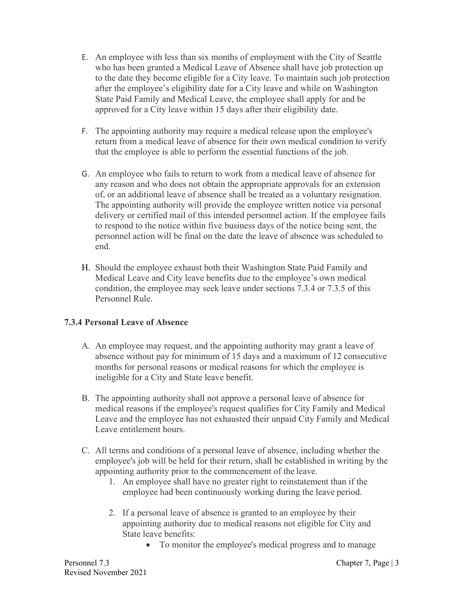- E. An employee with less than six months of employment with the City of Seattle who has been granted a Medical Leave of Absence shall have job protection up to the date they become eligible for a City leave. To maintain such job protection after the employee's eligibility date for a City leave and while on Washington State Paid Family and Medical Leave, the employee shall apply for and be approved for a City leave within 15 days after their eligibility date.
- F. The appointing authority may require a medical release upon the employee's return from a medical leave of absence for their own medical condition to verify that the employee is able to perform the essential functions of the job.
- G. An employee who fails to return to work from a medical leave of absence for any reason and who does not obtain the appropriate approvals for an extension of, or an additional leave of absence shall be treated as a voluntary resignation. The appointing authority will provide the employee written notice via personal delivery or certified mail of this intended personnel action. If the employee fails to respond to the notice within five business days of the notice being sent, the personnel action will be final on the date the leave of absence was scheduled to end.
- H. Should the employee exhaust both their Washington State Paid Family and Medical Leave and City leave benefits due to the employee's own medical condition, the employee may seek leave under sections 7.3.4 or 7.3.5 of this Personnel Rule.

# **7.3.4 Personal Leave of Absence**

- A. An employee may request, and the appointing authority may grant a leave of absence without pay for minimum of 15 days and a maximum of 12 consecutive months for personal reasons or medical reasons for which the employee is ineligible for a City and State leave benefit.
- B. The appointing authority shall not approve a personal leave of absence for medical reasons if the employee's request qualifies for City Family and Medical Leave and the employee has not exhausted their unpaid City Family and Medical Leave entitlement hours.
- C. All terms and conditions of a personal leave of absence, including whether the employee's job will be held for their return, shall be established in writing by the appointing authority prior to the commencement of the leave.
	- 1. An employee shall have no greater right to reinstatement than if the employee had been continuously working during the leave period.
	- 2. If a personal leave of absence is granted to an employee by their appointing authority due to medical reasons not eligible for City and State leave benefits:
		- To monitor the employee's medical progress and to manage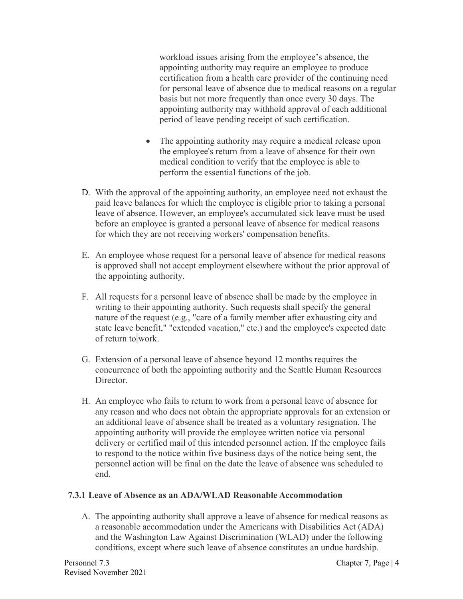workload issues arising from the employee's absence, the appointing authority may require an employee to produce certification from a health care provider of the continuing need for personal leave of absence due to medical reasons on a regular basis but not more frequently than once every 30 days. The appointing authority may withhold approval of each additional period of leave pending receipt of such certification.

- The appointing authority may require a medical release upon the employee's return from a leave of absence for their own medical condition to verify that the employee is able to perform the essential functions of the job.
- D. With the approval of the appointing authority, an employee need not exhaust the paid leave balances for which the employee is eligible prior to taking a personal leave of absence. However, an employee's accumulated sick leave must be used before an employee is granted a personal leave of absence for medical reasons for which they are not receiving workers' compensation benefits.
- E. An employee whose request for a personal leave of absence for medical reasons is approved shall not accept employment elsewhere without the prior approval of the appointing authority.
- F. All requests for a personal leave of absence shall be made by the employee in writing to their appointing authority. Such requests shall specify the general nature of the request (e.g., "care of a family member after exhausting city and state leave benefit," "extended vacation," etc.) and the employee's expected date of return to work.
- G. Extension of a personal leave of absence beyond 12 months requires the concurrence of both the appointing authority and the Seattle Human Resources Director.
- H. An employee who fails to return to work from a personal leave of absence for any reason and who does not obtain the appropriate approvals for an extension or an additional leave of absence shall be treated as a voluntary resignation. The appointing authority will provide the employee written notice via personal delivery or certified mail of this intended personnel action. If the employee fails to respond to the notice within five business days of the notice being sent, the personnel action will be final on the date the leave of absence was scheduled to end.

### **7.3.1 Leave of Absence as an ADA/WLAD Reasonable Accommodation**

A. The appointing authority shall approve a leave of absence for medical reasons as a reasonable accommodation under the Americans with Disabilities Act (ADA) and the Washington Law Against Discrimination (WLAD) under the following conditions, except where such leave of absence constitutes an undue hardship.

Personnel 7.3 Chapter 7, Page | 4 Revised November 2021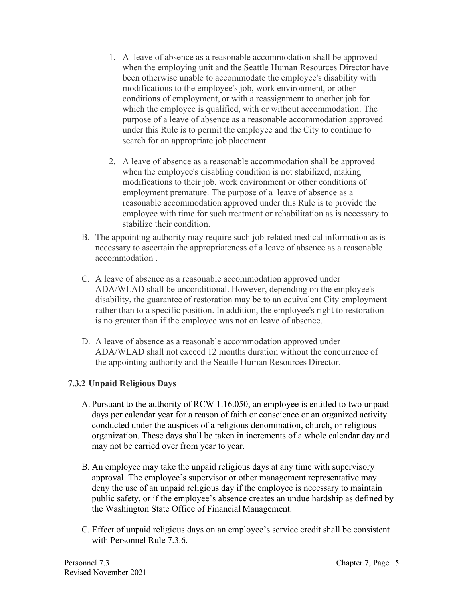- 1. A leave of absence as a reasonable accommodation shall be approved when the employing unit and the Seattle Human Resources Director have been otherwise unable to accommodate the employee's disability with modifications to the employee's job, work environment, or other conditions of employment, or with a reassignment to another job for which the employee is qualified, with or without accommodation. The purpose of a leave of absence as a reasonable accommodation approved under this Rule is to permit the employee and the City to continue to search for an appropriate job placement.
- 2. A leave of absence as a reasonable accommodation shall be approved when the employee's disabling condition is not stabilized, making modifications to their job, work environment or other conditions of employment premature. The purpose of a leave of absence as a reasonable accommodation approved under this Rule is to provide the employee with time for such treatment or rehabilitation as is necessary to stabilize their condition.
- B. The appointing authority may require such job-related medical information as is necessary to ascertain the appropriateness of a leave of absence as a reasonable accommodation .
- C. A leave of absence as a reasonable accommodation approved under ADA/WLAD shall be unconditional. However, depending on the employee's disability, the guarantee of restoration may be to an equivalent City employment rather than to a specific position. In addition, the employee's right to restoration is no greater than if the employee was not on leave of absence.
- D. A leave of absence as a reasonable accommodation approved under ADA/WLAD shall not exceed 12 months duration without the concurrence of the appointing authority and the Seattle Human Resources Director.

### **7.3.2 Unpaid Religious Days**

- A. Pursuant to the authority of RCW 1.16.050, an employee is entitled to two unpaid days per calendar year for a reason of faith or conscience or an organized activity conducted under the auspices of a religious denomination, church, or religious organization. These days shall be taken in increments of a whole calendar day and may not be carried over from year to year.
- B. An employee may take the unpaid religious days at any time with supervisory approval. The employee's supervisor or other management representative may deny the use of an unpaid religious day if the employee is necessary to maintain public safety, or if the employee's absence creates an undue hardship as defined by the Washington State Office of Financial Management.
- C. Effect of unpaid religious days on an employee's service credit shall be consistent with Personnel Rule 7.3.6.